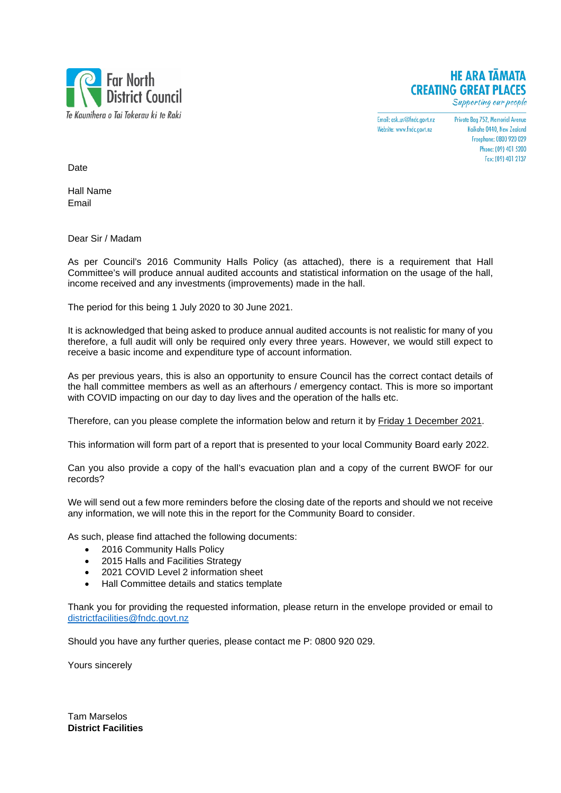

## **HE ARA TAMATA CREATING GREAT PLACES**

Supporting our people

Email: ask.us@fndc.govt.nz Website: www.fndc.govt.nz

Private Bag 752, Memorial Avenue Kaikohe 0440, New Zealand Freenhone: 0800 920 029 Phone: (09) 401 5200 Fax: (09) 401 2137

**Date** 

Hall Name Email

Dear Sir / Madam

As per Council's 2016 Community Halls Policy (as attached), there is a requirement that Hall Committee's will produce annual audited accounts and statistical information on the usage of the hall, income received and any investments (improvements) made in the hall.

The period for this being 1 July 2020 to 30 June 2021.

It is acknowledged that being asked to produce annual audited accounts is not realistic for many of you therefore, a full audit will only be required only every three years. However, we would still expect to receive a basic income and expenditure type of account information.

As per previous years, this is also an opportunity to ensure Council has the correct contact details of the hall committee members as well as an afterhours / emergency contact. This is more so important with COVID impacting on our day to day lives and the operation of the halls etc.

Therefore, can you please complete the information below and return it by Friday 1 December 2021.

This information will form part of a report that is presented to your local Community Board early 2022.

Can you also provide a copy of the hall's evacuation plan and a copy of the current BWOF for our records?

We will send out a few more reminders before the closing date of the reports and should we not receive any information, we will note this in the report for the Community Board to consider.

As such, please find attached the following documents:

- 2016 Community Halls Policy
- 2015 Halls and Facilities Strategy
- 2021 COVID Level 2 information sheet
- Hall Committee details and statics template

Thank you for providing the requested information, please return in the envelope provided or email to [districtfacilities@fndc.govt.nz](mailto:districtfacilities@fndc.govt.nz)

Should you have any further queries, please contact me P: 0800 920 029.

Yours sincerely

Tam Marselos **District Facilities**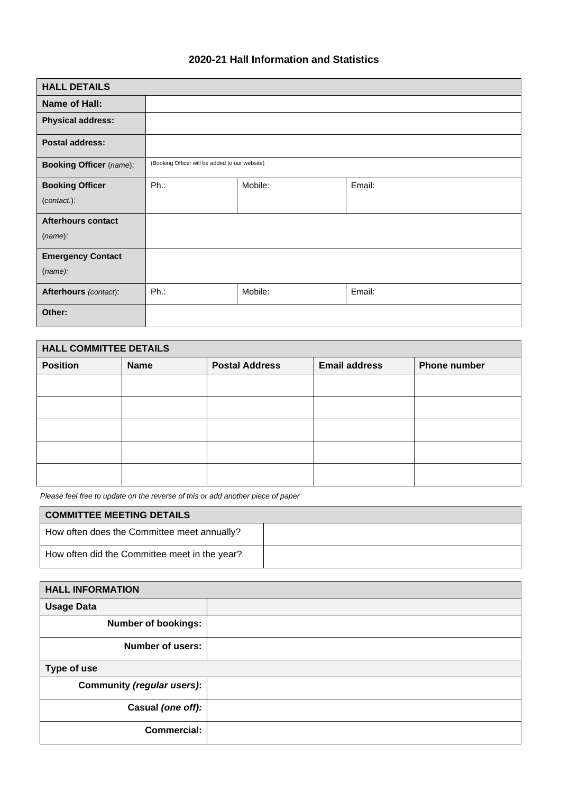## **2020-21 Hall Information and Statistics**

| <b>HALL DETAILS</b>            |                                                |         |        |
|--------------------------------|------------------------------------------------|---------|--------|
| <b>Name of Hall:</b>           |                                                |         |        |
| <b>Physical address:</b>       |                                                |         |        |
| <b>Postal address:</b>         |                                                |         |        |
| <b>Booking Officer</b> (name): | (Booking Officer will be added to our website) |         |        |
| <b>Booking Officer</b>         | Ph.:                                           | Mobile: | Email: |
| $(contact.)$ :                 |                                                |         |        |
| <b>Afterhours contact</b>      |                                                |         |        |
| (name):                        |                                                |         |        |
| <b>Emergency Contact</b>       |                                                |         |        |
| (name):                        |                                                |         |        |
| Afterhours (contact):          | Ph.:                                           | Mobile: | Email: |
| Other:                         |                                                |         |        |

| <b>HALL COMMITTEE DETAILS</b> |             |                       |                      |                     |
|-------------------------------|-------------|-----------------------|----------------------|---------------------|
| <b>Position</b>               | <b>Name</b> | <b>Postal Address</b> | <b>Email address</b> | <b>Phone number</b> |
|                               |             |                       |                      |                     |
|                               |             |                       |                      |                     |
|                               |             |                       |                      |                     |
|                               |             |                       |                      |                     |
|                               |             |                       |                      |                     |

*Please feel free to update on the reverse of this or add another piece of paper*

**r** 

| <b>COMMITTEE MEETING DETAILS</b>              |  |
|-----------------------------------------------|--|
| How often does the Committee meet annually?   |  |
| How often did the Committee meet in the year? |  |

| <b>HALL INFORMATION</b>    |  |
|----------------------------|--|
| <b>Usage Data</b>          |  |
| <b>Number of bookings:</b> |  |
| <b>Number of users:</b>    |  |
| Type of use                |  |
| Community (regular users): |  |
| Casual (one off):          |  |
| <b>Commercial:</b>         |  |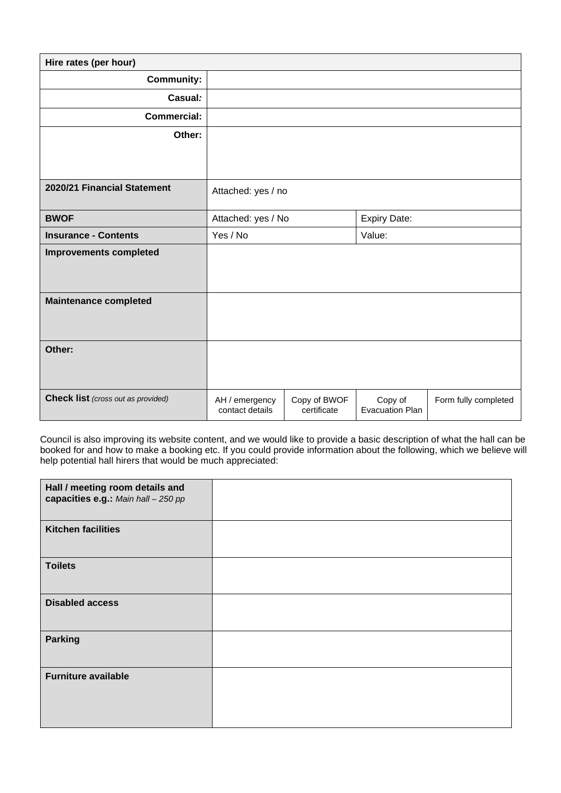| Hire rates (per hour)                     |                                   |                             |                                   |                      |
|-------------------------------------------|-----------------------------------|-----------------------------|-----------------------------------|----------------------|
| <b>Community:</b>                         |                                   |                             |                                   |                      |
| Casual:                                   |                                   |                             |                                   |                      |
| <b>Commercial:</b>                        |                                   |                             |                                   |                      |
| Other:                                    |                                   |                             |                                   |                      |
|                                           |                                   |                             |                                   |                      |
|                                           |                                   |                             |                                   |                      |
| 2020/21 Financial Statement               | Attached: yes / no                |                             |                                   |                      |
| <b>BWOF</b>                               | Attached: yes / No                |                             | <b>Expiry Date:</b>               |                      |
| <b>Insurance - Contents</b>               | Yes / No                          |                             | Value:                            |                      |
| <b>Improvements completed</b>             |                                   |                             |                                   |                      |
|                                           |                                   |                             |                                   |                      |
| <b>Maintenance completed</b>              |                                   |                             |                                   |                      |
|                                           |                                   |                             |                                   |                      |
|                                           |                                   |                             |                                   |                      |
| Other:                                    |                                   |                             |                                   |                      |
|                                           |                                   |                             |                                   |                      |
| <b>Check list</b> (cross out as provided) | AH / emergency<br>contact details | Copy of BWOF<br>certificate | Copy of<br><b>Evacuation Plan</b> | Form fully completed |

Council is also improving its website content, and we would like to provide a basic description of what the hall can be booked for and how to make a booking etc. If you could provide information about the following, which we believe will help potential hall hirers that would be much appreciated:

| Hall / meeting room details and<br>capacities e.g.: Main hall - 250 pp |  |
|------------------------------------------------------------------------|--|
| <b>Kitchen facilities</b>                                              |  |
| <b>Toilets</b>                                                         |  |
| <b>Disabled access</b>                                                 |  |
| <b>Parking</b>                                                         |  |
| <b>Furniture available</b>                                             |  |